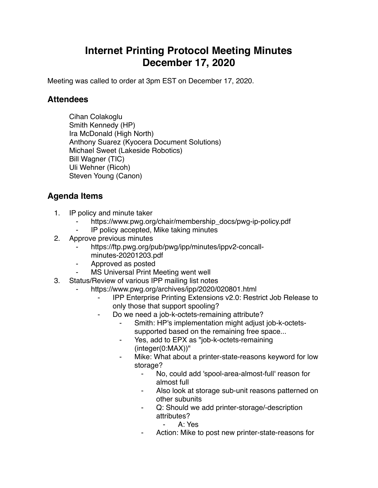## **Internet Printing Protocol Meeting Minutes December 17, 2020**

Meeting was called to order at 3pm EST on December 17, 2020.

## **Attendees**

Cihan Colakoglu Smith Kennedy (HP) Ira McDonald (High North) Anthony Suarez (Kyocera Document Solutions) Michael Sweet (Lakeside Robotics) Bill Wagner (TIC) Uli Wehner (Ricoh) Steven Young (Canon)

## **Agenda Items**

- 1. IP policy and minute taker
	- https://www.pwg.org/chair/membership\_docs/pwg-ip-policy.pdf
	- IP policy accepted, Mike taking minutes
- 2. Approve previous minutes
	- https://ftp.pwg.org/pub/pwg/ipp/minutes/ippv2-concallminutes-20201203.pdf
	- ⁃ Approved as posted
	- **MS Universal Print Meeting went well**
- 3. Status/Review of various IPP mailing list notes
	- https://www.pwg.org/archives/ipp/2020/020801.html
		- ⁃ IPP Enterprise Printing Extensions v2.0: Restrict Job Release to only those that support spooling?
		- Do we need a job-k-octets-remaining attribute?
			- Smith: HP's implementation might adjust job-k-octetssupported based on the remaining free space...
			- Yes, add to EPX as "job-k-octets-remaining" (integer(0:MAX))"
			- Mike: What about a printer-state-reasons keyword for low storage?
				- No, could add 'spool-area-almost-full' reason for almost full
				- Also look at storage sub-unit reasons patterned on other subunits
				- ⁃ Q: Should we add printer-storage/-description attributes?
					- ⁃ A: Yes
				- ⁃ Action: Mike to post new printer-state-reasons for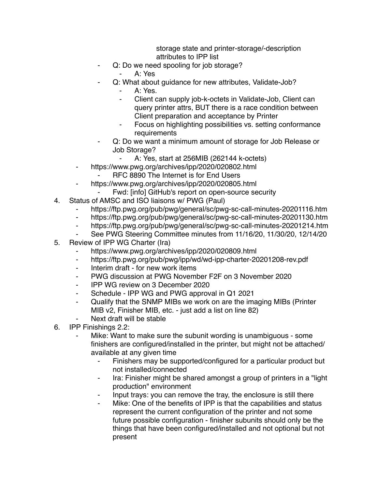storage state and printer-storage/-description attributes to IPP list

- ⁃ Q: Do we need spooling for job storage?
	- ⁃ A: Yes
- Q: What about quidance for new attributes, Validate-Job?
	- A: Yes.
	- ⁃ Client can supply job-k-octets in Validate-Job, Client can query printer attrs, BUT there is a race condition between Client preparation and acceptance by Printer
	- Focus on highlighting possibilities vs. setting conformance **requirements**
- Q: Do we want a minimum amount of storage for Job Release or Job Storage?
	- A: Yes, start at 256MIB (262144 k-octets)
- ⁃ https://www.pwg.org/archives/ipp/2020/020802.html
	- ⁃ RFC 8890 The Internet is for End Users
- https://www.pwg.org/archives/ipp/2020/020805.html
- Fwd: [info] GitHub's report on open-source security
- 4. Status of AMSC and ISO liaisons w/ PWG (Paul)
	- https://ftp.pwg.org/pub/pwg/general/sc/pwg-sc-call-minutes-20201116.htm
	- ⁃ https://ftp.pwg.org/pub/pwg/general/sc/pwg-sc-call-minutes-20201130.htm
	- ⁃ https://ftp.pwg.org/pub/pwg/general/sc/pwg-sc-call-minutes-20201214.htm
	- See PWG Steering Committee minutes from 11/16/20, 11/30/20, 12/14/20
- 5. Review of IPP WG Charter (Ira)
	- https://www.pwg.org/archives/ipp/2020/020809.html
	- ⁃ https://ftp.pwg.org/pub/pwg/ipp/wd/wd-ipp-charter-20201208-rev.pdf
	- ⁃ Interim draft for new work items
	- ⁃ PWG discussion at PWG November F2F on 3 November 2020
	- ⁃ IPP WG review on 3 December 2020
	- ⁃ Schedule IPP WG and PWG approval in Q1 2021
	- ⁃ Qualify that the SNMP MIBs we work on are the imaging MIBs (Printer MIB v2, Finisher MIB, etc. - just add a list on line 82)
	- Next draft will be stable
- 6. IPP Finishings 2.2:
	- Mike: Want to make sure the subunit wording is unambiguous some finishers are configured/installed in the printer, but might not be attached/ available at any given time
		- ⁃ Finishers may be supported/configured for a particular product but not installed/connected
		- ⁃ Ira: Finisher might be shared amongst a group of printers in a "light production" environment
		- ⁃ Input trays: you can remove the tray, the enclosure is still there
		- Mike: One of the benefits of IPP is that the capabilities and status represent the current configuration of the printer and not some future possible configuration - finisher subunits should only be the things that have been configured/installed and not optional but not present